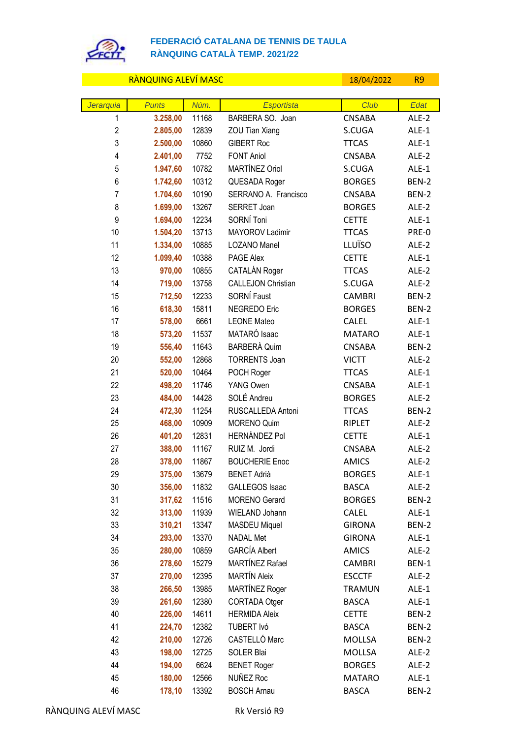

## **FEDERACIÓ CATALANA DE TENNIS DE TAULA RÀNQUING CATALÀ TEMP. 2021/22**

| RÀNQUING ALEVÍ MASC     |                      |               |                                        | 18/04/2022              | R <sub>9</sub> |
|-------------------------|----------------------|---------------|----------------------------------------|-------------------------|----------------|
|                         |                      |               |                                        |                         |                |
| Jerarquia               | <b>Punts</b>         | Núm.          | <b>Esportista</b>                      | Club                    | Edat           |
| 1                       | 3.258,00             | 11168         | BARBERA SO. Joan                       | <b>CNSABA</b>           | ALE-2          |
| $\overline{2}$<br>3     | 2.805,00             | 12839         | ZOU Tian Xiang                         | S.CUGA                  | ALE-1          |
| $\overline{\mathbf{4}}$ | 2.500,00             | 10860         | <b>GIBERT Roc</b><br><b>FONT Aniol</b> | <b>TTCAS</b>            | ALE-1          |
| 5                       | 2.401,00<br>1.947,60 | 7752<br>10782 | MARTÍNEZ Oriol                         | <b>CNSABA</b><br>S.CUGA | ALE-2<br>ALE-1 |
| 6                       | 1.742,60             | 10312         | QUESADA Roger                          | <b>BORGES</b>           | BEN-2          |
| $\overline{7}$          | 1.704,60             | 10190         | SERRANO A. Francisco                   | <b>CNSABA</b>           | BEN-2          |
| 8                       | 1.699,00             | 13267         | SERRET Joan                            | <b>BORGES</b>           | ALE-2          |
| 9                       | 1.694,00             | 12234         | SORNÍ Toni                             | <b>CETTE</b>            | ALE-1          |
| 10                      | 1.504,20             | 13713         | MAYOROV Ladimir                        | <b>TTCAS</b>            | PRE-0          |
| 11                      | 1.334,00             | 10885         | LOZANO Manel                           | LLUÏSO                  | ALE-2          |
| 12                      | 1.099,40             | 10388         | PAGE Alex                              | <b>CETTE</b>            | ALE-1          |
| 13                      | 970,00               | 10855         | CATALÁN Roger                          | <b>TTCAS</b>            | ALE-2          |
| 14                      | 719,00               | 13758         | <b>CALLEJON Christian</b>              | S.CUGA                  | ALE-2          |
| 15                      | 712,50               | 12233         | SORNÍ Faust                            | <b>CAMBRI</b>           | BEN-2          |
| 16                      | 618,30               | 15811         | NEGREDO Eric                           | <b>BORGES</b>           | BEN-2          |
| 17                      | 578,00               | 6661          | <b>LEONE Mateo</b>                     | <b>CALEL</b>            | ALE-1          |
| 18                      | 573,20               | 11537         | MATARÓ Isaac                           | <b>MATARO</b>           | ALE-1          |
| 19                      | 556,40               | 11643         | <b>BARBERÀ Quim</b>                    | <b>CNSABA</b>           | BEN-2          |
| 20                      | 552,00               | 12868         | <b>TORRENTS Joan</b>                   | <b>VICTT</b>            | ALE-2          |
| 21                      | 520,00               | 10464         | POCH Roger                             | <b>TTCAS</b>            | ALE-1          |
| 22                      | 498,20               | 11746         | YANG Owen                              | <b>CNSABA</b>           | ALE-1          |
| 23                      | 484,00               | 14428         | SOLÉ Andreu                            | <b>BORGES</b>           | ALE-2          |
| 24                      | 472,30               | 11254         | RUSCALLEDA Antoni                      | <b>TTCAS</b>            | BEN-2          |
| 25                      | 468,00               | 10909         | <b>MORENO Quim</b>                     | RIPLET                  | ALE-2          |
| 26                      | 401,20               | 12831         | <b>HERNÁNDEZ Pol</b>                   | <b>CETTE</b>            | ALE-1          |
| 27                      | 388,00               | 11167         | RUIZ M. Jordi                          | CNSABA                  | ALE-2          |
| 28                      | 378,00               | 11867         | <b>BOUCHERIE Enoc</b>                  | <b>AMICS</b>            | ALE-2          |
| 29                      | 375,00               | 13679         | <b>BENET Adrià</b>                     | <b>BORGES</b>           | ALE-1          |
| 30                      | 356,00               | 11832         | GALLEGOS Isaac                         | <b>BASCA</b>            | ALE-2          |
| 31                      | 317,62               | 11516         | MORENO Gerard                          | <b>BORGES</b>           | BEN-2          |
| 32                      | 313,00               | 11939         | WIELAND Johann                         | CALEL                   | ALE-1          |
| 33                      | 310,21               | 13347         | <b>MASDEU Miquel</b>                   | <b>GIRONA</b>           | BEN-2          |
| 34                      | 293,00               | 13370         | <b>NADAL Met</b>                       | <b>GIRONA</b>           | ALE-1          |
| 35                      | 280,00               | 10859         | <b>GARCÍA Albert</b>                   | <b>AMICS</b>            | ALE-2          |
| 36                      | 278,60               | 15279         | MARTÍNEZ Rafael                        | <b>CAMBRI</b>           | BEN-1          |
| 37                      | 270,00               | 12395         | <b>MARTÍN Aleix</b>                    | <b>ESCCTF</b>           | ALE-2          |
| 38                      | 266,50               | 13985         | MARTÍNEZ Roger                         | <b>TRAMUN</b>           | ALE-1          |
| 39                      | 261,60               | 12380         | CORTADA Otger                          | <b>BASCA</b>            | ALE-1          |
| 40                      | 226,00               | 14611         | <b>HERMIDA Aleix</b>                   | <b>CETTE</b>            | BEN-2          |
| 41                      | 224,70               | 12382         | TUBERT Ivó                             | <b>BASCA</b>            | BEN-2          |
| 42                      | 210,00               | 12726         | CASTELLÓ Marc                          | MOLLSA                  | BEN-2          |
| 43                      | 198,00               | 12725         | SOLER Blai                             | MOLLSA                  | ALE-2          |
| 44                      | 194,00               | 6624          | <b>BENET Roger</b>                     | <b>BORGES</b>           | ALE-2          |
| 45                      | 180,00               | 12566         | NUÑEZ Roc                              | <b>MATARO</b>           | ALE-1          |
| 46                      | 178,10               | 13392         | <b>BOSCH Arnau</b>                     | <b>BASCA</b>            | <b>BEN-2</b>   |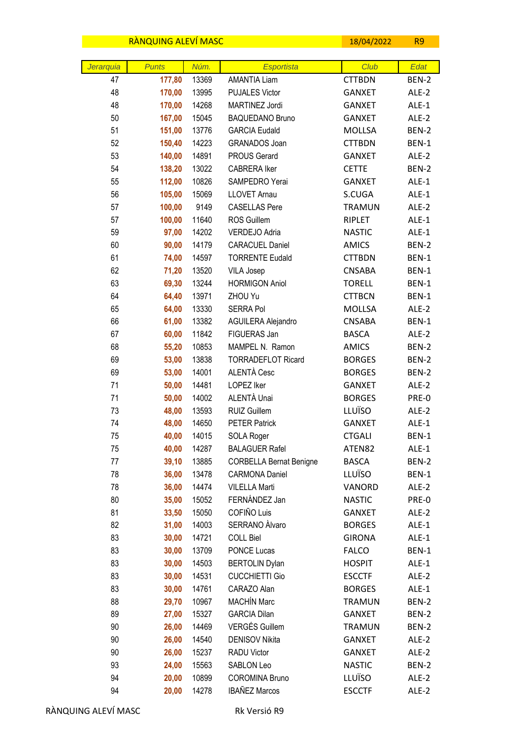|           | RANQUING ALEVI MASC |                |                                      | 18/04/2022                    | R <sub>9</sub> |
|-----------|---------------------|----------------|--------------------------------------|-------------------------------|----------------|
|           |                     |                |                                      |                               |                |
| Jerarquia | <b>Punts</b>        | Núm.           | <b>Esportista</b>                    | Club                          | Edat           |
| 47        | 177,80              | 13369          | <b>AMANTIA Liam</b>                  | <b>CTTBDN</b>                 | BEN-2          |
| 48        | 170,00              | 13995          | <b>PUJALES Victor</b>                | <b>GANXET</b>                 | ALE-2          |
| 48        | 170,00              | 14268          | MARTINEZ Jordi                       | <b>GANXET</b>                 | ALE-1          |
| 50        | 167,00              | 15045          | <b>BAQUEDANO Bruno</b>               | <b>GANXET</b>                 | ALE-2          |
| 51        | 151,00              | 13776          | <b>GARCIA Eudald</b>                 | MOLLSA                        | BEN-2<br>BEN-1 |
| 52<br>53  | 150,40              | 14223          | GRANADOS Joan<br><b>PROUS Gerard</b> | <b>CTTBDN</b>                 |                |
| 54        | 140,00<br>138,20    | 14891<br>13022 | <b>CABRERA Iker</b>                  | <b>GANXET</b><br><b>CETTE</b> | ALE-2<br>BEN-2 |
| 55        | 112,00              | 10826          | SAMPEDRO Yerai                       | <b>GANXET</b>                 | ALE-1          |
| 56        | 105,00              | 15069          | <b>LLOVET Arnau</b>                  | S.CUGA                        | ALE-1          |
| 57        | 100,00              | 9149           | <b>CASELLAS Pere</b>                 | <b>TRAMUN</b>                 | ALE-2          |
| 57        | 100,00              | 11640          | ROS Guillem                          | RIPLET                        | ALE-1          |
| 59        | 97,00               | 14202          | VERDEJO Adria                        | <b>NASTIC</b>                 | ALE-1          |
| 60        | 90,00               | 14179          | <b>CARACUEL Daniel</b>               | <b>AMICS</b>                  | BEN-2          |
| 61        | 74,00               | 14597          | <b>TORRENTE Eudald</b>               | <b>CTTBDN</b>                 | BEN-1          |
| 62        | 71,20               | 13520          | <b>VILA Josep</b>                    | <b>CNSABA</b>                 | BEN-1          |
| 63        | 69,30               | 13244          | <b>HORMIGON Aniol</b>                | <b>TORELL</b>                 | BEN-1          |
| 64        | 64,40               | 13971          | ZHOU Yu                              | <b>CTTBCN</b>                 | BEN-1          |
| 65        | 64,00               | 13330          | <b>SERRA Pol</b>                     | MOLLSA                        | ALE-2          |
| 66        | 61,00               | 13382          | AGUILERA Alejandro                   | CNSABA                        | BEN-1          |
| 67        | 60,00               | 11842          | FIGUERAS Jan                         | <b>BASCA</b>                  | ALE-2          |
| 68        | 55,20               | 10853          | MAMPEL N. Ramon                      | <b>AMICS</b>                  | BEN-2          |
| 69        | 53,00               | 13838          | <b>TORRADEFLOT Ricard</b>            | <b>BORGES</b>                 | BEN-2          |
| 69        | 53,00               | 14001          | ALENTÀ Cesc                          | <b>BORGES</b>                 | BEN-2          |
| 71        | 50,00               | 14481          | LOPEZ Iker                           | <b>GANXET</b>                 | ALE-2          |
| 71        | 50,00               | 14002          | ALENTÀ Unai                          | <b>BORGES</b>                 | PRE-0          |
| 73        | 48,00               | 13593          | RUIZ Guillem                         | LLUÏSO                        | ALE-2          |
| 74        | 48,00               | 14650          | <b>PETER Patrick</b>                 | <b>GANXET</b>                 | ALE-1          |
| 75        | 40,00               | 14015          | <b>SOLA Roger</b>                    | <b>CTGALI</b>                 | BEN-1          |
| 75        | 40,00               | 14287          | <b>BALAGUER Rafel</b>                | ATEN82                        | ALE-1          |
| 77        | 39,10               | 13885          | <b>CORBELLA Bernat Benigne</b>       | <b>BASCA</b>                  | BEN-2          |
| 78        | 36,00               | 13478          | <b>CARMONA Daniel</b>                | LLUÏSO                        | BEN-1          |
| 78        | 36,00               | 14474          | <b>VILELLA Marti</b>                 | VANORD                        | ALE-2          |
| 80        | 35,00               | 15052          | FERNÁNDEZ Jan                        | <b>NASTIC</b>                 | PRE-0          |
| 81        | 33,50               | 15050          | COFIÑO Luis                          | <b>GANXET</b>                 | ALE-2          |
| 82        | 31,00               | 14003          | SERRANO Alvaro                       | <b>BORGES</b>                 | $ALE-1$        |
| 83        | 30,00               | 14721          | <b>COLL Biel</b>                     | <b>GIRONA</b>                 | ALE-1          |
| 83        | 30,00               | 13709          | PONCE Lucas                          | <b>FALCO</b>                  | BEN-1          |
| 83        | 30,00               | 14503          | <b>BERTOLIN Dylan</b>                | <b>HOSPIT</b>                 | ALE-1          |
| 83        | 30,00               | 14531          | <b>CUCCHIETTI Gio</b>                | <b>ESCCTF</b>                 | ALE-2          |
| 83        | 30,00               | 14761          | CARAZO Alan                          | <b>BORGES</b>                 | ALE-1          |
| 88        | 29,70               | 10967          | <b>MACHÍN Marc</b>                   | <b>TRAMUN</b>                 | BEN-2          |
| 89        | 27,00               | 15327          | <b>GARCIA Dilan</b>                  | <b>GANXET</b>                 | BEN-2          |
| 90        | 26,00               | 14469          | <b>VERGÉS Guillem</b>                | <b>TRAMUN</b>                 | BEN-2          |
| 90        | 26,00               | 14540          | <b>DENISOV Nikita</b>                | <b>GANXET</b>                 | ALE-2          |
| $90\,$    | 26,00               | 15237          | RADU Victor                          | <b>GANXET</b>                 | ALE-2          |
| 93        | 24,00               | 15563          | SABLON Leo                           | <b>NASTIC</b>                 | BEN-2          |
| 94        | 20,00               | 10899          | <b>COROMINA Bruno</b>                | LLUÏSO                        | ALE-2          |
| 94        | 20,00               | 14278          | <b>IBAÑEZ Marcos</b>                 | <b>ESCCTF</b>                 | ALE-2          |